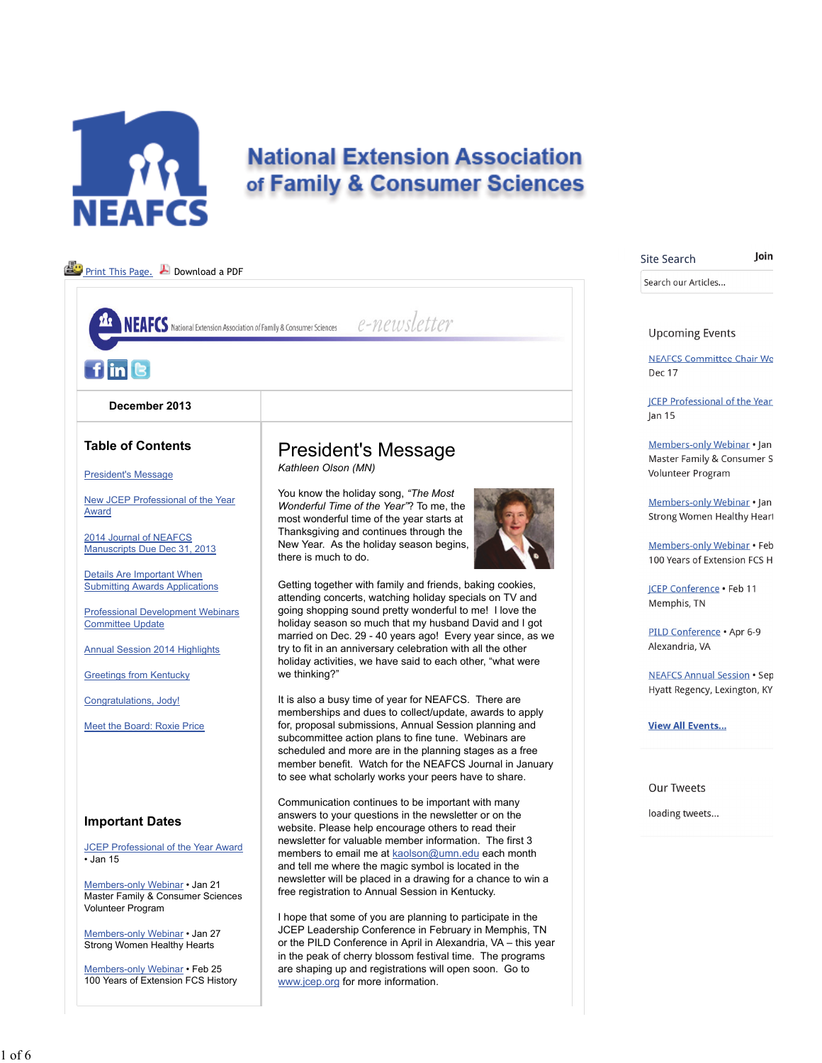

# **National Extension Association** of Family & Consumer Sciences

Join

| Print This Page. Download a PDF                                                                |                                                                                                                                                                                      | Search our Articles                                                |
|------------------------------------------------------------------------------------------------|--------------------------------------------------------------------------------------------------------------------------------------------------------------------------------------|--------------------------------------------------------------------|
|                                                                                                |                                                                                                                                                                                      |                                                                    |
| <b>NEAFCS</b> National Extension Association of Family & Consumer Sciences                     | e-newsletter                                                                                                                                                                         | <b>Upcoming Events</b>                                             |
| $f$ in $\Theta$                                                                                |                                                                                                                                                                                      | <b>NEAFCS Committee Chair We</b><br>Dec 17                         |
| December 2013                                                                                  |                                                                                                                                                                                      | <b>ICEP Professional of the Year</b><br> an 15                     |
| <b>Table of Contents</b>                                                                       | <b>President's Message</b>                                                                                                                                                           | Members-only Webinar . Jan<br>Master Family & Consumer S           |
| <b>President's Message</b>                                                                     | Kathleen Olson (MN)                                                                                                                                                                  | Volunteer Program                                                  |
| New JCEP Professional of the Year<br>Award                                                     | You know the holiday song, "The Most<br>Wonderful Time of the Year"? To me, the<br>most wonderful time of the year starts at                                                         | Members-only Webinar • Jan<br><b>Strong Women Healthy Heart</b>    |
| 2014 Journal of NEAFCS<br>Manuscripts Due Dec 31, 2013                                         | Thanksgiving and continues through the<br>New Year. As the holiday season begins,<br>there is much to do.                                                                            | Members-only Webinar • Feb<br>100 Years of Extension FCS H         |
| Details Are Important When<br><b>Submitting Awards Applications</b>                            | Getting together with family and friends, baking cookies,<br>attending concerts, watching holiday specials on TV and                                                                 | <b>ICEP Conference . Feb 11</b><br>Memphis, TN                     |
| <b>Professional Development Webinars</b><br><b>Committee Update</b>                            | going shopping sound pretty wonderful to me! I love the<br>holiday season so much that my husband David and I got<br>married on Dec. 29 - 40 years ago! Every year since, as we      | PILD Conference . Apr 6-9                                          |
| <b>Annual Session 2014 Highlights</b>                                                          | try to fit in an anniversary celebration with all the other<br>holiday activities, we have said to each other, "what were                                                            | Alexandria, VA                                                     |
| <b>Greetings from Kentucky</b>                                                                 | we thinking?"                                                                                                                                                                        | <b>NEAFCS Annual Session • Sep</b><br>Hyatt Regency, Lexington, KY |
| Congratulations, Jody!                                                                         | It is also a busy time of year for NEAFCS. There are<br>memberships and dues to collect/update, awards to apply                                                                      |                                                                    |
| Meet the Board: Roxie Price                                                                    | for, proposal submissions, Annual Session planning and<br>subcommittee action plans to fine tune. Webinars are                                                                       | <b>View All Events</b>                                             |
|                                                                                                | scheduled and more are in the planning stages as a free<br>member benefit. Watch for the NEAFCS Journal in January                                                                   |                                                                    |
|                                                                                                | to see what scholarly works your peers have to share.                                                                                                                                | <b>Our Tweets</b>                                                  |
| <b>Important Dates</b>                                                                         | Communication continues to be important with many<br>answers to your questions in the newsletter or on the<br>website. Please help encourage others to read their                    | loading tweets                                                     |
| <b>JCEP Professional of the Year Award</b>                                                     | newsletter for valuable member information. The first 3<br>members to email me at kaolson@umn.edu each month                                                                         |                                                                    |
| $\cdot$ Jan 15                                                                                 | and tell me where the magic symbol is located in the                                                                                                                                 |                                                                    |
| Members-only Webinar . Jan 21<br>Master Family & Consumer Sciences<br><b>Volunteer Program</b> | newsletter will be placed in a drawing for a chance to win a<br>free registration to Annual Session in Kentucky.                                                                     |                                                                    |
| Members-only Webinar . Jan 27<br>Strong Women Healthy Hearts                                   | I hope that some of you are planning to participate in the<br>JCEP Leadership Conference in February in Memphis, TN<br>or the PILD Conference in April in Alexandria, VA - this year |                                                                    |
| Members-only Webinar . Feb 25<br>100 Years of Extension FCS History                            | in the peak of cherry blossom festival time. The programs<br>are shaping up and registrations will open soon. Go to<br>www.jcep.org for more information.                            |                                                                    |

1 of 6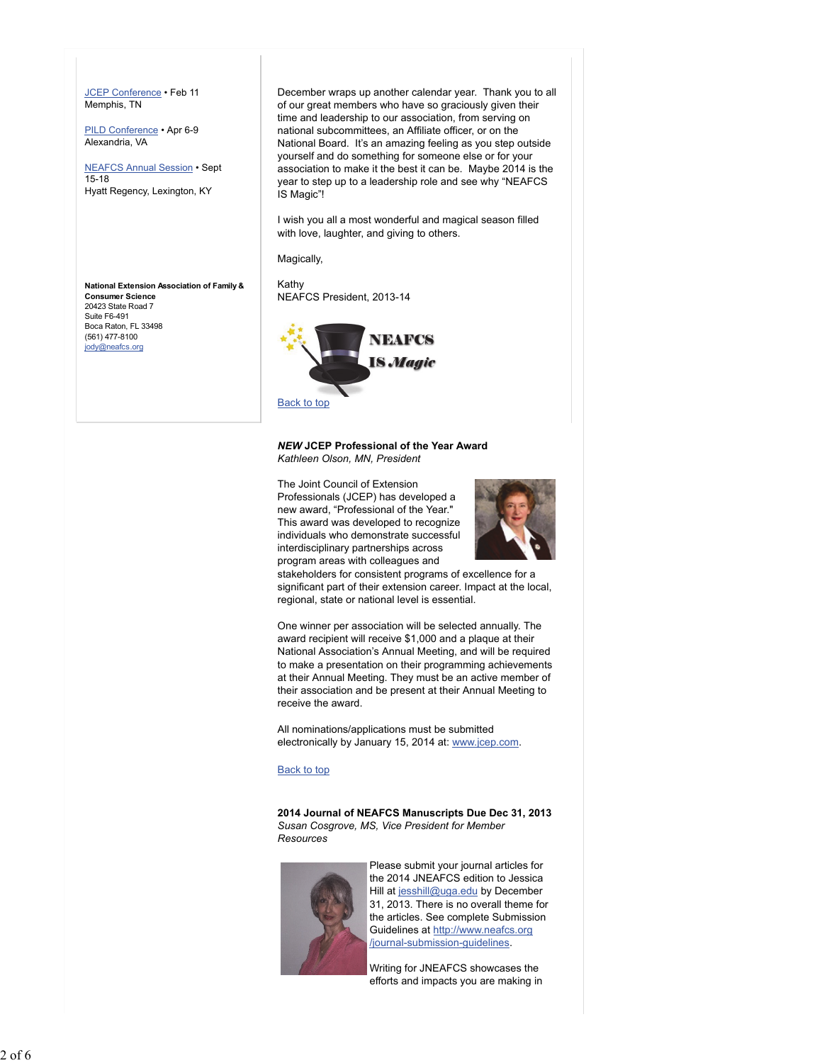JCEP Conference • Feb 11 Memphis, TN

PILD Conference • Apr 6-9 Alexandria, VA

NEAFCS Annual Session • Sept 15-18 Hyatt Regency, Lexington, KY

**National Extension Association of Family & Consumer Science** 20423 State Road 7 Suite F6-491 Boca Raton, FL 33498 (561) 477-8100 jody@neafcs.org

December wraps up another calendar year. Thank you to all of our great members who have so graciously given their time and leadership to our association, from serving on national subcommittees, an Affiliate officer, or on the National Board. It's an amazing feeling as you step outside yourself and do something for someone else or for your association to make it the best it can be. Maybe 2014 is the year to step up to a leadership role and see why "NEAFCS IS Magic"!

I wish you all a most wonderful and magical season filled with love, laughter, and giving to others.

Magically,

Kathy NEAFCS President, 2013-14



#### *NEW* **JCEP Professional of the Year Award** *Kathleen Olson, MN, President*

The Joint Council of Extension

Professionals (JCEP) has developed a new award, "Professional of the Year." This award was developed to recognize individuals who demonstrate successful interdisciplinary partnerships across program areas with colleagues and



stakeholders for consistent programs of excellence for a significant part of their extension career. Impact at the local, regional, state or national level is essential.

One winner per association will be selected annually. The award recipient will receive \$1,000 and a plaque at their National Association's Annual Meeting, and will be required to make a presentation on their programming achievements at their Annual Meeting. They must be an active member of their association and be present at their Annual Meeting to receive the award.

All nominations/applications must be submitted electronically by January 15, 2014 at: www.jcep.com.

## Back to top

**2014 Journal of NEAFCS Manuscripts Due Dec 31, 2013** *Susan Cosgrove, MS, Vice President for Member Resources*



Please submit your journal articles for the 2014 JNEAFCS edition to Jessica Hill at jesshill@uga.edu by December 31, 2013. There is no overall theme for the articles. See complete Submission Guidelines at http://www.neafcs.org /journal-submission-guidelines.

Writing for JNEAFCS showcases the efforts and impacts you are making in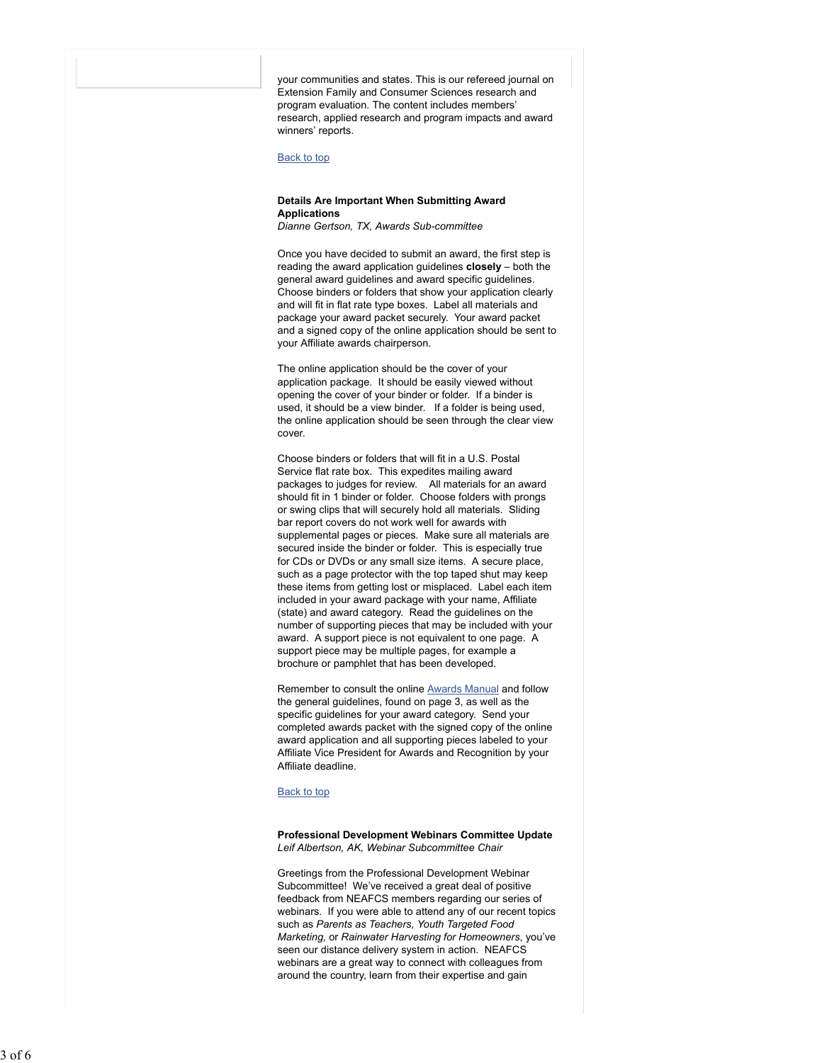your communities and states. This is our refereed journal on Extension Family and Consumer Sciences research and program evaluation. The content includes members' research, applied research and program impacts and award winners' reports.

## Back to top

## **Details Are Important When Submitting Award Applications**

*Dianne Gertson, TX, Awards Sub-committee*

Once you have decided to submit an award, the first step is reading the award application guidelines **closely** – both the general award guidelines and award specific guidelines. Choose binders or folders that show your application clearly and will fit in flat rate type boxes. Label all materials and package your award packet securely. Your award packet and a signed copy of the online application should be sent to your Affiliate awards chairperson.

The online application should be the cover of your application package. It should be easily viewed without opening the cover of your binder or folder. If a binder is used, it should be a view binder. If a folder is being used, the online application should be seen through the clear view cover.

Choose binders or folders that will fit in a U.S. Postal Service flat rate box. This expedites mailing award packages to judges for review. All materials for an award should fit in 1 binder or folder. Choose folders with prongs or swing clips that will securely hold all materials. Sliding bar report covers do not work well for awards with supplemental pages or pieces*.* Make sure all materials are secured inside the binder or folder. This is especially true for CDs or DVDs or any small size items. A secure place, such as a page protector with the top taped shut may keep these items from getting lost or misplaced. Label each item included in your award package with your name, Affiliate (state) and award category. Read the guidelines on the number of supporting pieces that may be included with your award. A support piece is not equivalent to one page. A support piece may be multiple pages, for example a brochure or pamphlet that has been developed.

Remember to consult the online Awards Manual and follow the general guidelines, found on page 3, as well as the specific guidelines for your award category. Send your completed awards packet with the signed copy of the online award application and all supporting pieces labeled to your Affiliate Vice President for Awards and Recognition by your Affiliate deadline.

#### Back to top

#### **Professional Development Webinars Committee Update** *Leif Albertson, AK, Webinar Subcommittee Chair*

Greetings from the Professional Development Webinar Subcommittee! We've received a great deal of positive feedback from NEAFCS members regarding our series of webinars. If you were able to attend any of our recent topics such as *Parents as Teachers, Youth Targeted Food Marketing,* or *Rainwater Harvesting for Homeowners*, you've seen our distance delivery system in action. NEAFCS webinars are a great way to connect with colleagues from around the country, learn from their expertise and gain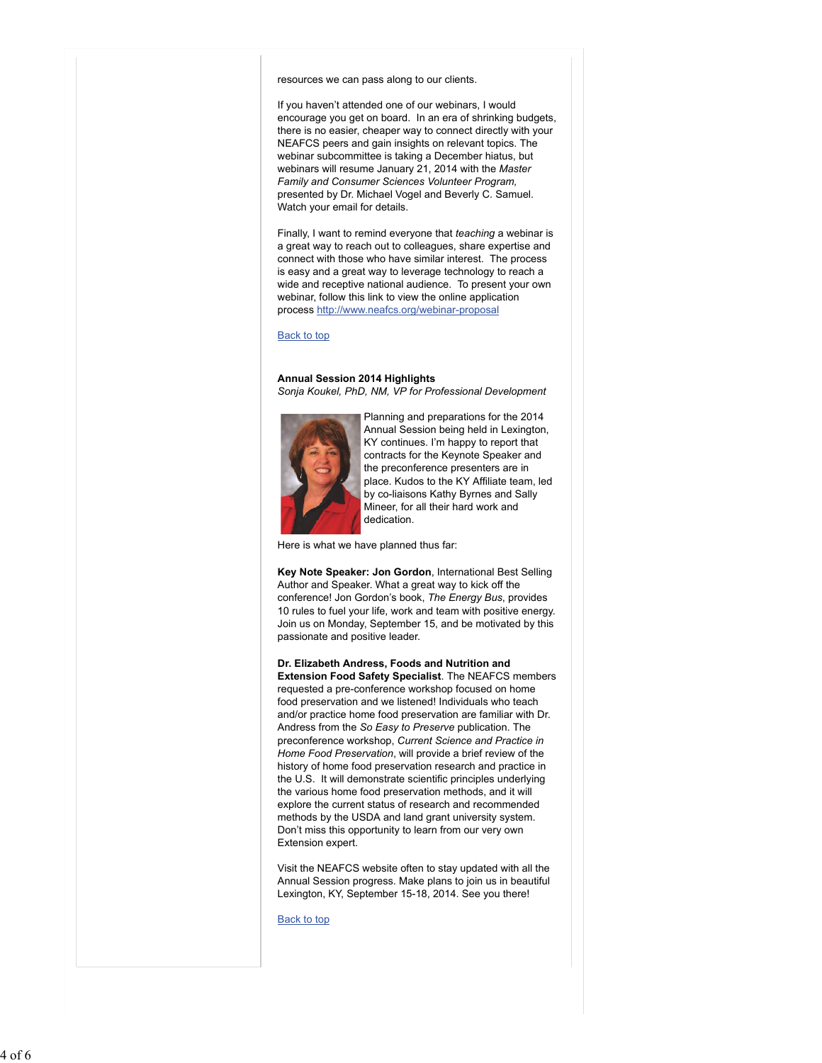resources we can pass along to our clients.

If you haven't attended one of our webinars, I would encourage you get on board. In an era of shrinking budgets, there is no easier, cheaper way to connect directly with your NEAFCS peers and gain insights on relevant topics. The webinar subcommittee is taking a December hiatus, but webinars will resume January 21, 2014 with the *Master Family and Consumer Sciences Volunteer Program,* presented by Dr. Michael Vogel and Beverly C. Samuel. Watch your email for details.

Finally, I want to remind everyone that *teaching* a webinar is a great way to reach out to colleagues, share expertise and connect with those who have similar interest. The process is easy and a great way to leverage technology to reach a wide and receptive national audience. To present your own webinar, follow this link to view the online application process http://www.neafcs.org/webinar-proposal

#### Back to top

#### **Annual Session 2014 Highlights** *Sonja Koukel, PhD, NM, VP for Professional Development*



Planning and preparations for the 2014 Annual Session being held in Lexington, KY continues. I'm happy to report that contracts for the Keynote Speaker and the preconference presenters are in place. Kudos to the KY Affiliate team, led by co-liaisons Kathy Byrnes and Sally Mineer, for all their hard work and dedication.

Here is what we have planned thus far:

**Key Note Speaker: Jon Gordon**, International Best Selling Author and Speaker. What a great way to kick off the conference! Jon Gordon's book, *The Energy Bus*, provides 10 rules to fuel your life, work and team with positive energy. Join us on Monday, September 15, and be motivated by this passionate and positive leader.

**Dr. Elizabeth Andress, Foods and Nutrition and Extension Food Safety Specialist**. The NEAFCS members requested a pre-conference workshop focused on home food preservation and we listened! Individuals who teach and/or practice home food preservation are familiar with Dr. Andress from the *So Easy to Preserve* publication. The preconference workshop, *Current Science and Practice in Home Food Preservation*, will provide a brief review of the history of home food preservation research and practice in the U.S. It will demonstrate scientific principles underlying the various home food preservation methods, and it will explore the current status of research and recommended methods by the USDA and land grant university system. Don't miss this opportunity to learn from our very own Extension expert.

Visit the NEAFCS website often to stay updated with all the Annual Session progress. Make plans to join us in beautiful Lexington, KY, September 15-18, 2014. See you there!

Back to top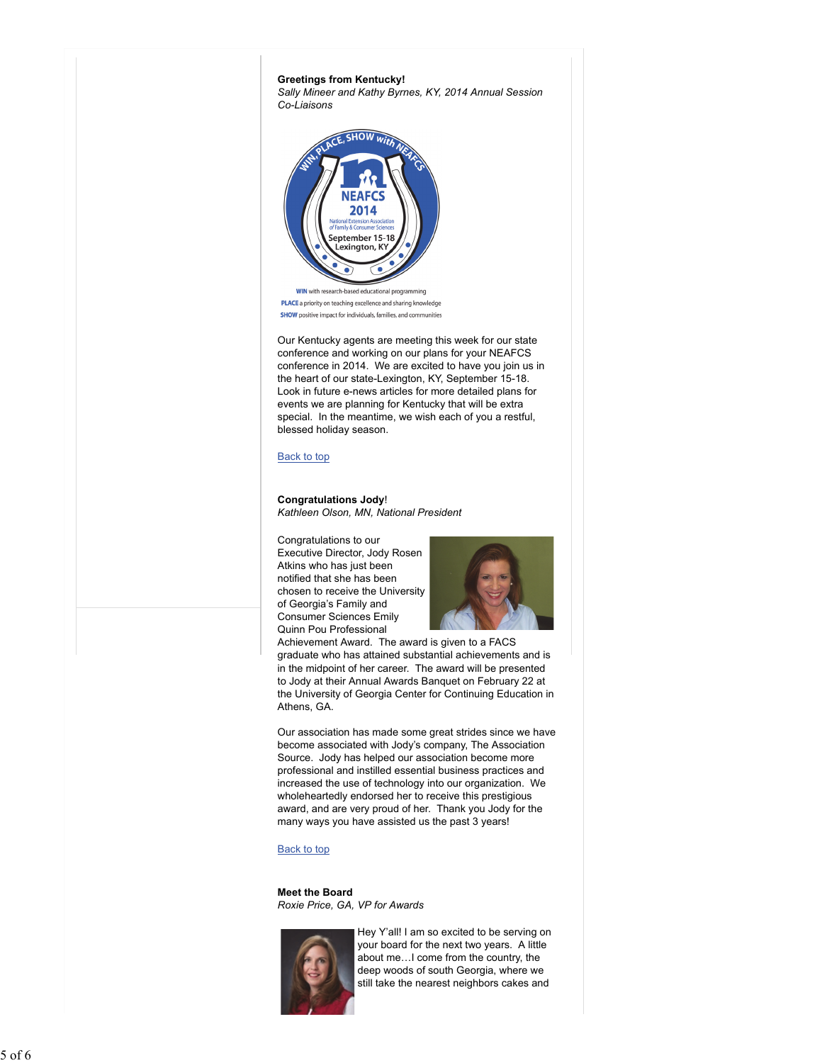



**WIN** with research-based educational programming PLACE a priority on teaching excellence and sharing knowledge **SHOW** positive impact for individuals, families, and communities

Our Kentucky agents are meeting this week for our state conference and working on our plans for your NEAFCS conference in 2014. We are excited to have you join us in the heart of our state-Lexington, KY, September 15-18. Look in future e-news articles for more detailed plans for events we are planning for Kentucky that will be extra special. In the meantime, we wish each of you a restful, blessed holiday season.

## Back to top

## **Congratulations Jody**! *Kathleen Olson, MN, National President*

Congratulations to our Executive Director, Jody Rosen Atkins who has just been notified that she has been chosen to receive the University of Georgia's Family and Consumer Sciences Emily Quinn Pou Professional



Achievement Award. The award is given to a FACS graduate who has attained substantial achievements and is in the midpoint of her career. The award will be presented to Jody at their Annual Awards Banquet on February 22 at the University of Georgia Center for Continuing Education in Athens, GA.

Our association has made some great strides since we have become associated with Jody's company, The Association Source. Jody has helped our association become more professional and instilled essential business practices and increased the use of technology into our organization. We wholeheartedly endorsed her to receive this prestigious award, and are very proud of her. Thank you Jody for the many ways you have assisted us the past 3 years!

## Back to top

**Meet the Board** *Roxie Price, GA, VP for Awards*



Hey Y'all! I am so excited to be serving on your board for the next two years. A little about me…I come from the country, the deep woods of south Georgia, where we still take the nearest neighbors cakes and